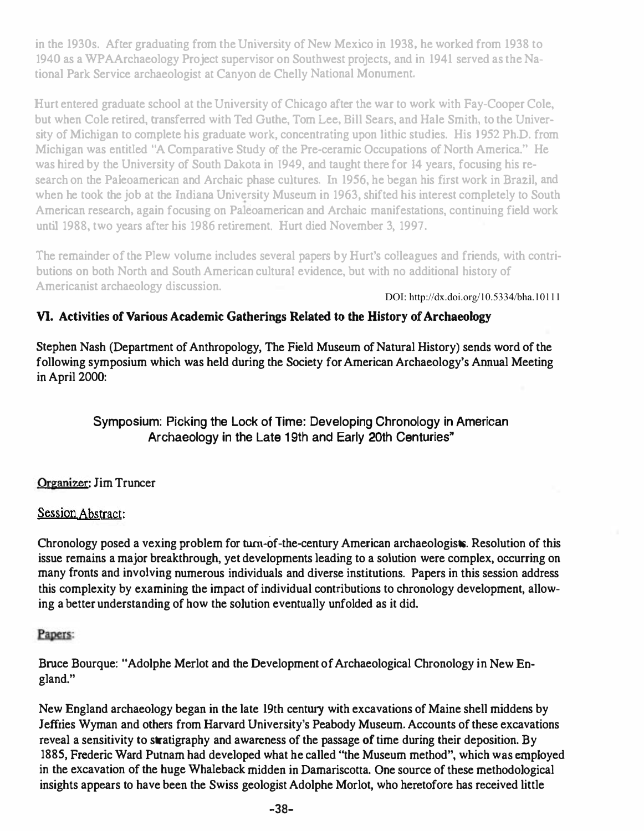in the 1930s. After graduating from the University of New Mexico in 1938, he worked from 1938 to 1940 as a WPAArchaeology Project supervisor on Southwest projects, and in 1941 served as the National Park Service archaeologist at Canyon de Chelly National Monument.

Hurt entered graduate school at the University of Chicago after the war to work with Fay-Cooper Cole, but when Cole retired, transferred with Ted Guthe, Tom Lee, Bill Sears, and Hale Smith. to the Univer· sity of Michigan to complete his graduate work, concentrating upon lithic studies. His 1952 Ph.D. from Michigan was entitled "A Comparative Study of the Pre-ceramic Occupations of North America." He was hired by the University of South Dakota in 1949, and taught there for 14 years, focusing his research on the Pa1eoamerican and Archaic phase cultures. In 1956, he began his first work in Brazil, and when he took the job at the Indiana University Museum in 1963, shifted his interest completely to South American research. again focusing on Paleoamerican and Archaic manifestations, continuing field work until 1988, two years after his 1986 retirement. Hurt died November 3, 1997.

The remainder of the Plew volume includes several papers by Hurt's colleagues and friends, with contributions on both North and South American cultural evidence, but with no additional history of Americanist archaeology discussion.

DOI: http://dx.doi.org/10.5334/bha.10111

## VI. Activities of Various Academic Gatherings Related to the History of Archaeology

Stephen Nash (Department of Anthropology, The Field Museum of Natural History) sends word of the following symposium which was held during the Society for American Archaeology's Annual Meeting in April 2000:

> Symposium: Picking the Lock of Time: Developing Chronology in American Archaeology in the Late 19th and Early 20th Centuries"

### Organizer: Jim Truncer

### Session Abstract:

Chronology posed a vexing problem for turn-of-the-century American archaeologists. Resolution of this issue remains a major breakthrough. yet developments leading to a solution were complex, occurring on many fronts and involving numerous individuals and diverse institutions. Papers in this session address this complexity by examining the impact of individual contributions to chronology development, allowing a better understanding of how the solution eventually unfolded as it did.

### Papers:

Bruce Bourque: "Adolphe Merlot and the Development of Archaeological Chronology in New England."

New England archaeology began in the late 19th century with excavations of Maine shell middens by Jeffries Wyman and others from Harvard University's Peabody Museum. Accounts of these excavations reveal a sensitivity to stratigraphy and awareness of the passage of time during their deposition. By 1885, Frederic Ward Putnam had developed what he called "the Museum method", which was employed in the excavation of the huge Whaleback midden in Damariscotta. One source of these methodological insights appears to have been the Swiss geologist Adolphe Morlot, who heretofore has received little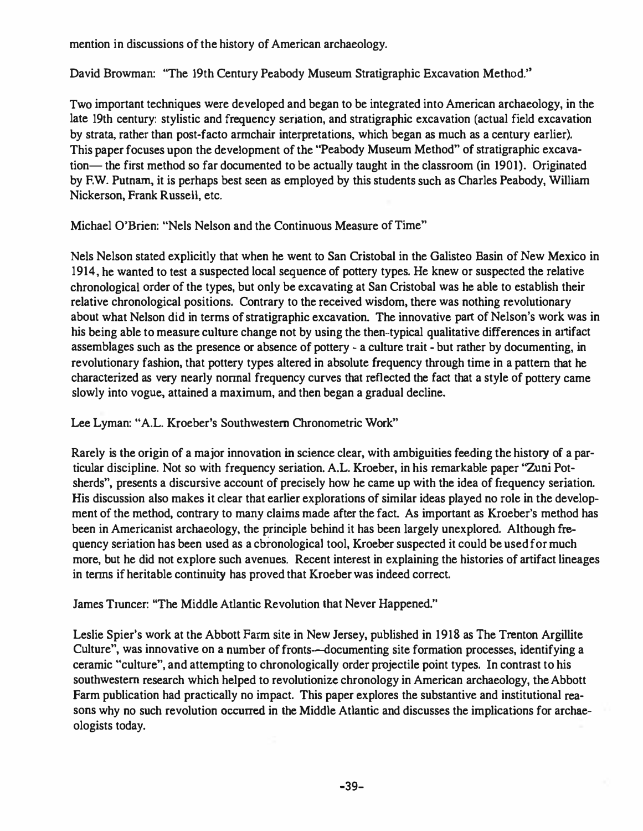mention in discussions of the history of American archaeology.

David Browman: ''The 19th Century Pcabody Museum Stratigraphic Excavation Method."

Two important techniques were developed and began to be integrated into American archaeology, in the late 19th century: stylistic and frequency seriation, and stratigraphic excavation (actual field excavation by strata, rather than post-facto armchair interpretations, which began as much as a century earlier). This paper focuses upon the development of the "Peabody Museum Method" of stratigraphic excavation— the first method so far documented to be actually taught in the classroom (in 1901). Originated by F.W. Putnam, it is perhaps best seen as employed by this students such as Charles Peabody, William Nickerson, Frank Russell, etc.

Michael O'Brien: "Nels Nelson and the Continuous Measure of Time"

Nels Nelson stated explicitly that when he went to San Cristobal in the Galisteo Basin of New Mexico in 1914, he wanted to test a suspected local sequence of pottery types. He knew or suspected the relative chronological order of the types, but only be excavating at San Cristobal was he able to establish their relative chronological positions. Contrary to the received wisdom, there was nothing revolutionary about what Nelson did in terms of stratigraphic excavation. The innovative part of Nelson's work was in his being able to measure culture change not by using the then-typical qualitative differences in artifact assemblages such as the presence or absence of pottery - a culture trait - but rather by documenting, in revolutionary fashion, that pottery types altered in absolute frequency through time in a pattern that he characterized as very nearly nonnal frequency curves that reflected the fact that a style of pottery came slowly into vogue, attained a maximum, and then began a gradual decline.

Lee Lyman: "A.L. Kroeber's Southwestern Chronometric Work"

Rarely is the origin of a major innovation in science clear, with ambiguities feeding the history of a particular discipline. Not so with frequency seriation. A.L. Kroeber, in his remarkable paper "Zuni Potsherds", presents a discursive account of precisely how he came up with the idea of frequency seriation. His discussion also makes it clear that earlier explorations of similar ideas played no role in the development of the method, contrary to many claims made after the fact. As important as Kroeber's method has been in Americanist archaeology. the principle behind it has been largely unexplored. A1though frequency seriation has been used as a cbronological tool, Kroeber suspected it could be used for much more, but he did not explore such avenues. Recent interest in explaining the histories of artifact lineages in tenns if heritable continuity has proved that Kroeber was indeed correct.

James Truncer: ''The Middle Atlantic Revolution that Never Happened."

Leslie Spier's work at the Abbott Farm site in New Jersey, published in 1918 as The Trenton Argillite Culture", was innovative on a number of fronts--documenting site formation processes, identifying a ceramic "culture", and attempting to chronologically order projectile point types. In contrast to his southwestern research which helped to revolutionize chronology in American archaeology, the Abbott Farm publication had practically no impact. This paper explores the substantive and institutional reasons why no such revolution occurred in the Middle Atlantic and discusses the implications for archaeologists today.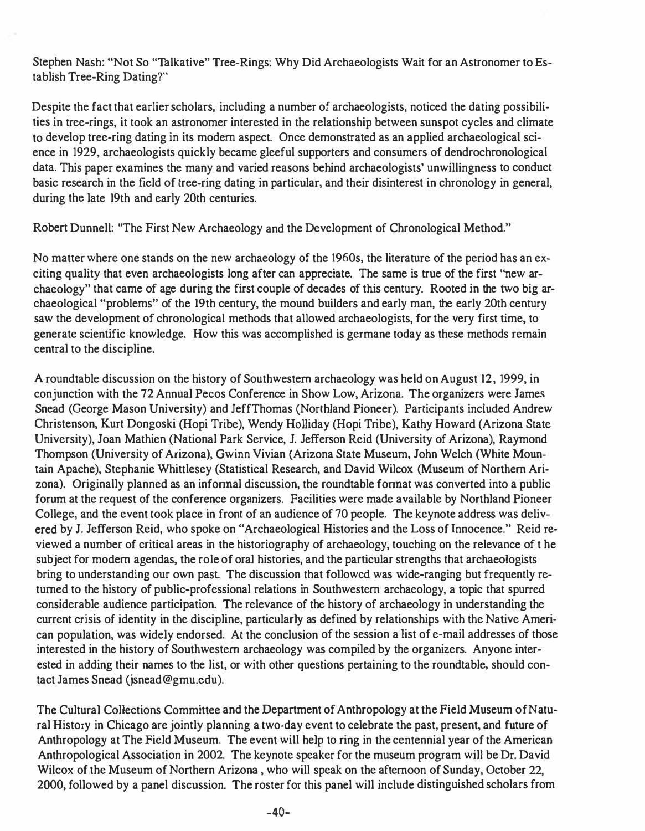Stephen Nash: "Not So "Talkative" Tree-Rings: Why Did Archaeologists Wait for an Astronomer to Establish Tree-Ring Dating?"

Despite the fact that earlier scholars, including a number of archaeologists, noticed the dating possibilities in tree-rings, it took an astronomer interested in the relationship between sunspot cycles and climate to develop tree-ring dating in its modern aspect. Once demonstrated as an applied archaeological science in 1929, archaeologists quickly became gleeful supporters and consumers of dendrochronological data. This paper examines the many and varied reasons behind archaeologists' unwillingness to conduct basic research in the field of tree-ring dating in particular, and their disinterest in chronology in general, during the late 19th and early 20th centuries.

Robert Dunnell: ''The First New Archaeology and the Development of Chronological Method."

No matter where one stands on the new archaeology of the 1960s, the literature of the period has an exciting quality that even archaeologists long after can appreciate. The same is true of the first "new archaeology" that came of age during the first couple of decades of this century. Rooted in the two big archaeological "problems" of the 19th century, the mound builders and early man, the early 20th century saw the development of chronological methods that allowed archaeologists, for the very first time, to generate scientific knowledge. How this was accomplished is germane today as these methods remain central to the discipline.

A roundtable discussion on the history of Southwestern archaeology was held on August 12, 1999, in conjunction with the 72 Annual Peeos Conference in Show Low, Arizona. The organizers were James Snead (George Mason University) and leffThomas (Northland Pioneer). Participants included Andrew Christenson, Kurt Dongoski (Hopi Tribe), Wendy HOlliday (Hopi Tribe), Kathy Howard (Arizona State University), Joan Mathien (National Park Service, J. lefferson Reid (University of Arizona), Raymond Thompson (University of Arizona), Gwinn Vivian (Arizona State Museum. John Welch (White Mountain Apache), Stephanie Whittlesey (Statistical Research, and David Wi1cox (Museum of Northern Arizona). Originally planned as an infonnal discussion, the roundtable fonnat was converted into a public forum at the request of the conference organizers. Facilities were made available by Northland Pioneer College, and the event took place in front of an audience of 70 people. The keynote address was delivered by 1. lefferson Reid, who spoke on "Archaeological Histories and the Loss of lnnocence." Reid reviewed a number of critical areas in the historiography of archaeology, touching on the relevance of t he subject for modern agendas, the role of oral histories, and the particular strengths that archaeologists bring to understanding our own past. The discussion that followed was wide-ranging but frequently returned to the history of public-professional relations in Southwestern archaeology, a topic that spurred considerable audience participation. The relevance of the history of archaeology in understanding the current crisis of identity in the discipline, particularly as defined by relationships with the Native American population, was widely endorsed. At the conclusion of the session a list of e-mail addresses of those interested in the history of Southwestern archaeology was compiled by the organizers. Anyone interested in adding their names to the list, or with other questions pertaining to the roundtable. should contact lames Snead (jsnead@gmu.edu).

The Cultural Collections Committee and the Department of Anthropology at the Field Museum ofNatural History in Chicago are jointly planning a two-day event to celebrate the past, present, and future of Anthropology at The Field Museum. The event wi1l help to ring in the centennial year of the American Anthropological Association in 2002. The keynote speaker for the museum program will be Dr. David Wilcox of the Museum of Northern Arizona , who will speak on the afternoon of Sunday, October 22, 2000, followed by a panel discussion. The roster for this panel wi1l include distinguished scholars from